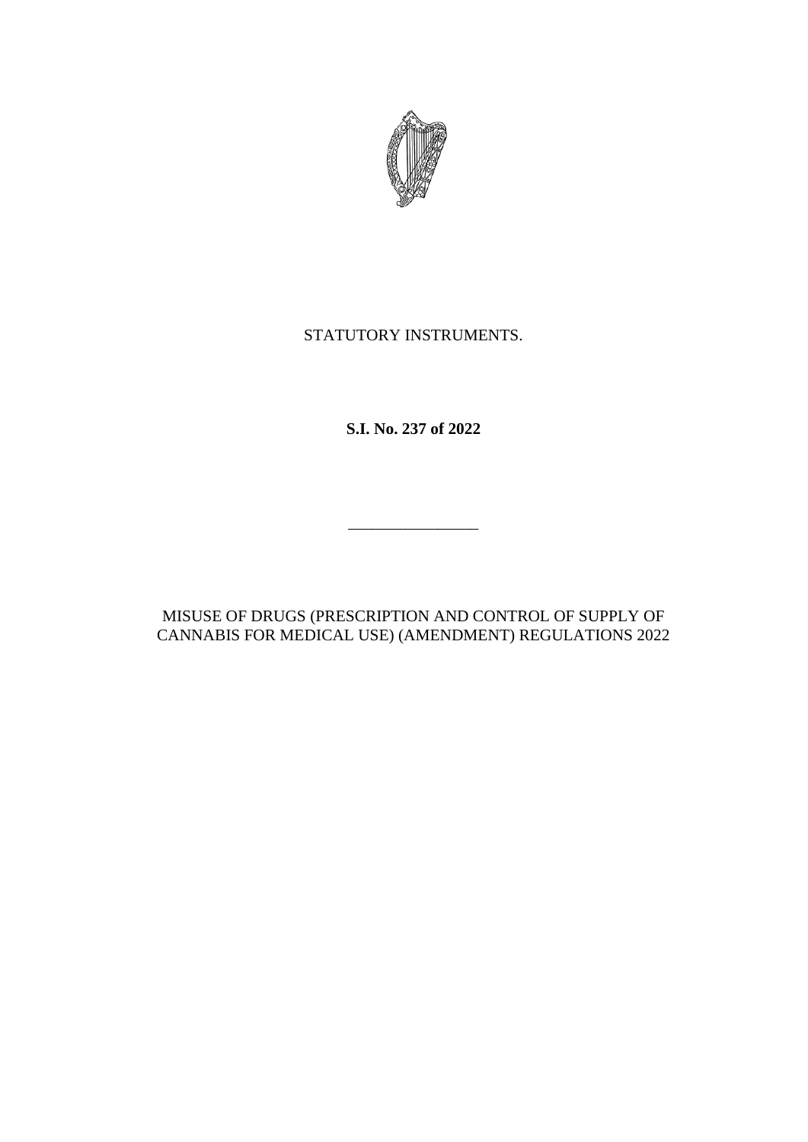

## STATUTORY INSTRUMENTS.

**S.I. No. 237 of 2022**

\_\_\_\_\_\_\_\_\_\_\_\_\_\_\_\_

MISUSE OF DRUGS (PRESCRIPTION AND CONTROL OF SUPPLY OF CANNABIS FOR MEDICAL USE) (AMENDMENT) REGULATIONS 2022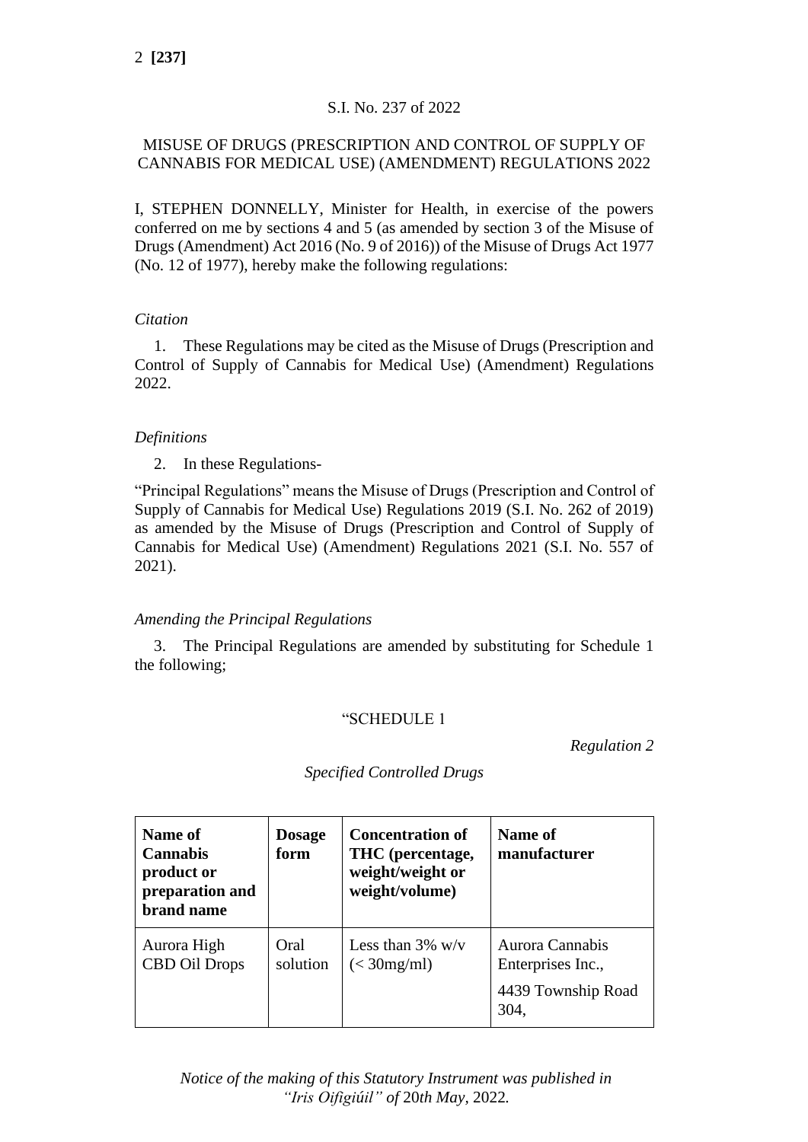## S.I. No. 237 of 2022

## MISUSE OF DRUGS (PRESCRIPTION AND CONTROL OF SUPPLY OF CANNABIS FOR MEDICAL USE) (AMENDMENT) REGULATIONS 2022

I, STEPHEN DONNELLY, Minister for Health, in exercise of the powers conferred on me by sections 4 and 5 (as amended by section 3 of the Misuse of Drugs (Amendment) Act 2016 (No. 9 of 2016)) of the Misuse of Drugs Act 1977 (No. 12 of 1977), hereby make the following regulations:

## *Citation*

1. These Regulations may be cited as the Misuse of Drugs (Prescription and Control of Supply of Cannabis for Medical Use) (Amendment) Regulations 2022.

## *Definitions*

2. In these Regulations-

"Principal Regulations" means the Misuse of Drugs (Prescription and Control of Supply of Cannabis for Medical Use) Regulations 2019 (S.I. No. 262 of 2019) as amended by the Misuse of Drugs (Prescription and Control of Supply of Cannabis for Medical Use) (Amendment) Regulations 2021 (S.I. No. 557 of 2021).

## *Amending the Principal Regulations*

3. The Principal Regulations are amended by substituting for Schedule 1 the following;

#### "SCHEDULE 1

*Regulation 2*

| Name of<br><b>Cannabis</b><br>product or<br>preparation and<br>brand name | <b>Dosage</b><br>form | <b>Concentration of</b><br>THC (percentage,<br>weight/weight or<br>weight/volume) | Name of<br>manufacturer                                            |
|---------------------------------------------------------------------------|-----------------------|-----------------------------------------------------------------------------------|--------------------------------------------------------------------|
| Aurora High<br><b>CBD Oil Drops</b>                                       | Oral<br>solution      | Less than $3\%$ w/v<br>$\left( < 30 \text{mg/ml} \right)$                         | Aurora Cannabis<br>Enterprises Inc.,<br>4439 Township Road<br>304, |

*Specified Controlled Drugs*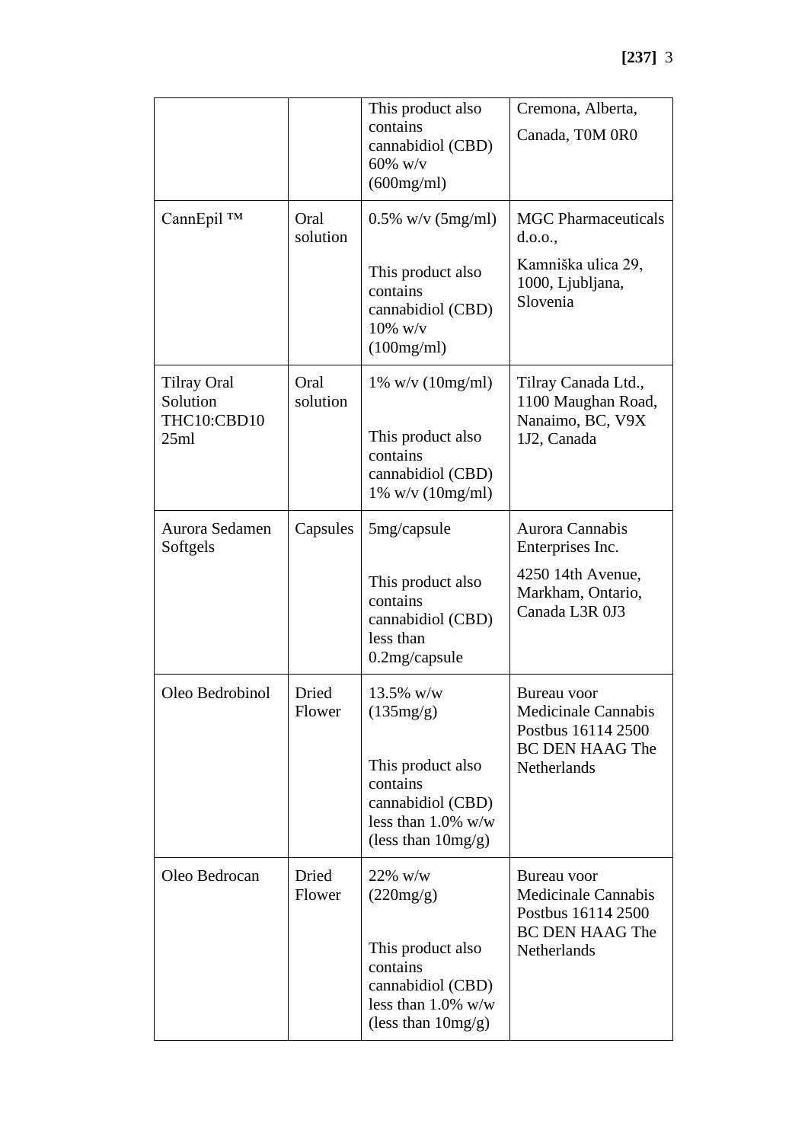|                                               |                  | This product also                                                                                    | Cremona, Alberta,                                               |
|-----------------------------------------------|------------------|------------------------------------------------------------------------------------------------------|-----------------------------------------------------------------|
|                                               |                  | contains<br>cannabidiol (CBD)<br>$60\%$ w/v<br>(600mg/ml)                                            | Canada, T0M 0R0                                                 |
| CannEpil ™                                    | Oral<br>solution | $0.5\%$ w/v (5mg/ml)                                                                                 | <b>MGC</b> Pharmaceuticals<br>d.0.0.,                           |
|                                               |                  | This product also<br>contains<br>cannabidiol (CBD)<br>$10\%$ w/v<br>(100mg/ml)                       | Kamniška ulica 29,<br>1000, Ljubljana,<br>Slovenia              |
| <b>Tilray Oral</b><br>Solution<br>THC10:CBD10 | Oral<br>solution | $1\%$ w/v ( $10$ mg/ml)                                                                              | Tilray Canada Ltd.,<br>1100 Maughan Road,<br>Nanaimo, BC, V9X   |
| 25ml                                          |                  | This product also<br>contains<br>cannabidiol (CBD)<br>1% w/v (10mg/ml)                               | 1J2, Canada                                                     |
| Aurora Sedamen<br>Softgels                    | Capsules         | 5mg/capsule                                                                                          | Aurora Cannabis<br>Enterprises Inc.                             |
|                                               |                  | This product also<br>contains<br>cannabidiol (CBD)<br>less than<br>0.2mg/capsule                     | 4250 14th Avenue,<br>Markham, Ontario,<br>Canada L3R 0J3        |
| Oleo Bedrobinol                               | Dried<br>Flower  | 13.5% w/w<br>(135mg/g)                                                                               | Bureau voor<br><b>Medicinale Cannabis</b><br>Postbus 16114 2500 |
|                                               |                  | This product also<br>contains<br>cannabidiol (CBD)<br>less than $1.0\%$ w/w<br>(less than $10mg/g$ ) | <b>BC DEN HAAG The</b><br>Netherlands                           |
| Oleo Bedrocan                                 | Dried<br>Flower  | $22\%$ w/w<br>(220mg/g)                                                                              | Bureau voor<br><b>Medicinale Cannabis</b><br>Postbus 16114 2500 |
|                                               |                  | This product also<br>contains<br>cannabidiol (CBD)<br>less than $1.0\%$ w/w<br>(less than $10mg/g$ ) | <b>BC DEN HAAG The</b><br>Netherlands                           |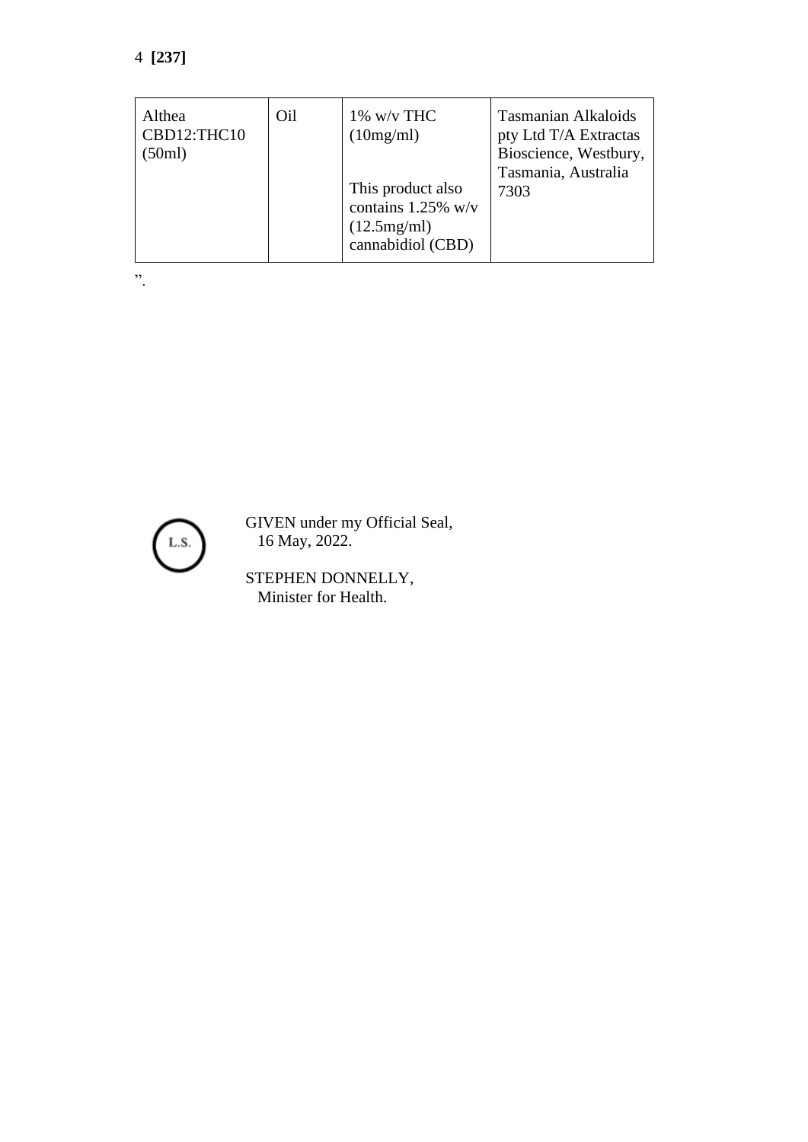# 4 **[237]**

| Althea<br>CBD12:THC10<br>(50ml) | Oil | $1\%$ w/v THC<br>(10mg/ml)<br>This product also<br>contains 1.25% w/v<br>(12.5mg/ml)<br>cannabidiol (CBD) | <b>Tasmanian Alkaloids</b><br>pty Ltd T/A Extractas<br>Bioscience, Westbury,<br>Tasmania, Australia<br>7303 |
|---------------------------------|-----|-----------------------------------------------------------------------------------------------------------|-------------------------------------------------------------------------------------------------------------|
|---------------------------------|-----|-----------------------------------------------------------------------------------------------------------|-------------------------------------------------------------------------------------------------------------|

".



GIVEN under my Official Seal, 16 May, 2022.

STEPHEN DONNELLY, Minister for Health.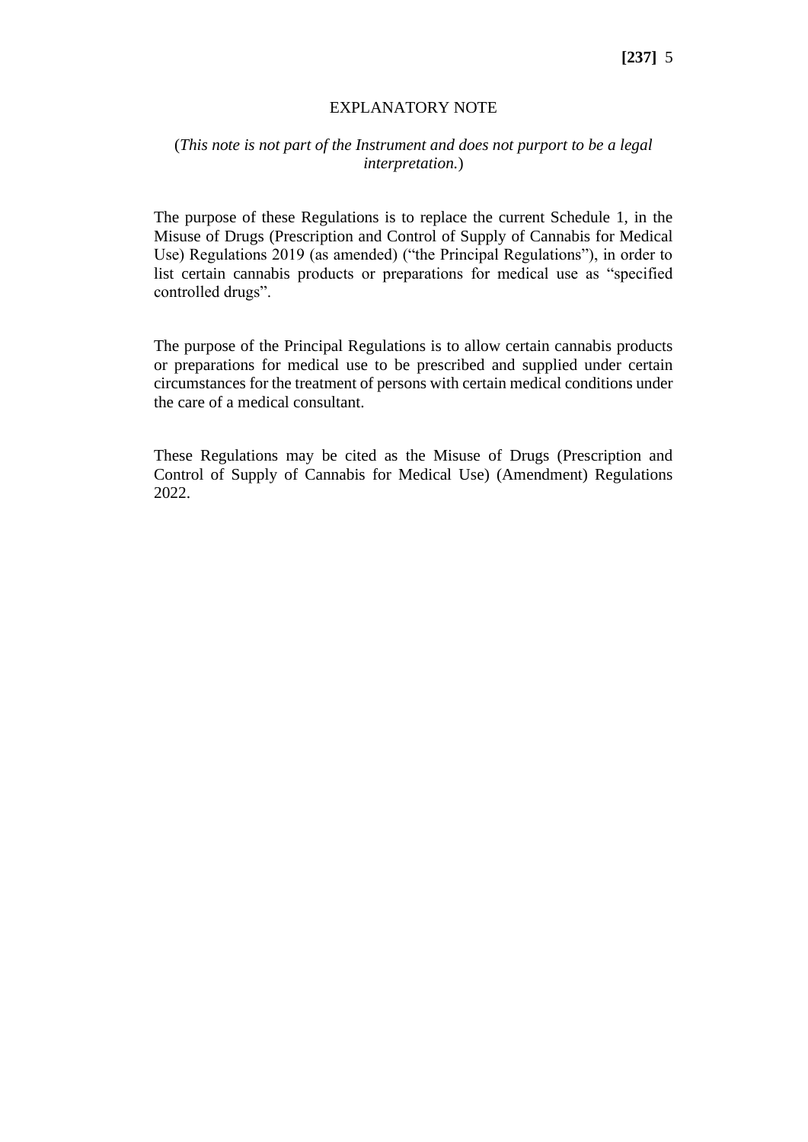#### EXPLANATORY NOTE

## (*This note is not part of the Instrument and does not purport to be a legal interpretation.*)

The purpose of these Regulations is to replace the current Schedule 1, in the Misuse of Drugs (Prescription and Control of Supply of Cannabis for Medical Use) Regulations 2019 (as amended) ("the Principal Regulations"), in order to list certain cannabis products or preparations for medical use as "specified controlled drugs".

The purpose of the Principal Regulations is to allow certain cannabis products or preparations for medical use to be prescribed and supplied under certain circumstances for the treatment of persons with certain medical conditions under the care of a medical consultant.

These Regulations may be cited as the Misuse of Drugs (Prescription and Control of Supply of Cannabis for Medical Use) (Amendment) Regulations 2022.